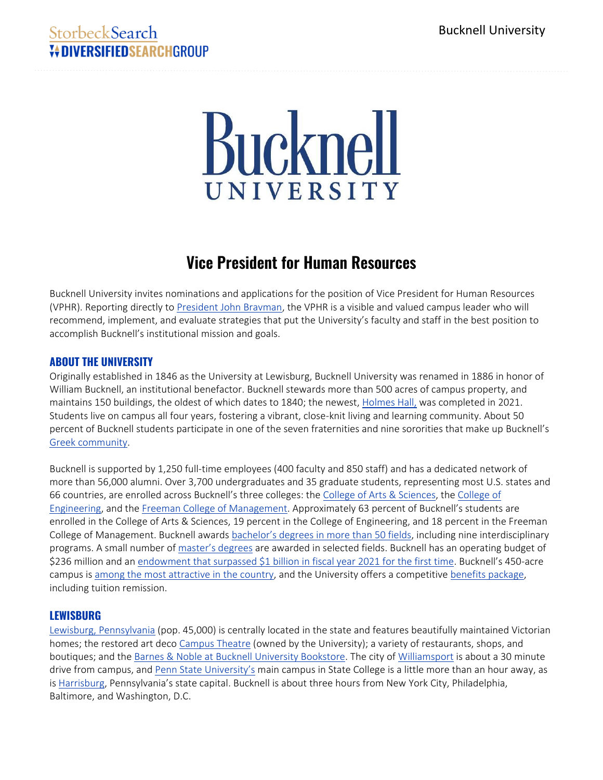# StorbeckSearch *V* **DIVERSIFIEDSFARCHGROUP**

# Bucknell UNIVERSITY

# **Vice President for Human Resources**

Bucknell University invites nominations and applications for the position of Vice President for Human Resources (VPHR). Reporting directly t[o President John Bravman,](https://www.bucknell.edu/meet-bucknell/bucknell-leadership/meet-president-bravman) the VPHR is a visible and valued campus leader who will recommend, implement, and evaluate strategies that put the University's faculty and staff in the best position to accomplish Bucknell's institutional mission and goals.

# **ABOUT THE UNIVERSITY**

Originally established in 1846 as the University at Lewisburg, Bucknell University was renamed in 1886 in honor of William Bucknell, an institutional benefactor. Bucknell stewards more than 500 acres of campus property, and maintains 150 buildings, the oldest of which dates to 1840; the newest, [Holmes Hall,](https://www.bucknell.edu/news/organization-and-creativity-bucknell-opens-holmes-hall) was completed in 2021. Students live on campus all four years, fostering a vibrant, close-knit living and learning community. About 50 percent of Bucknell students participate in one of the seven fraternities and nine sororities that make up Bucknell's [Greek community.](https://www.bucknell.edu/azdirectory/fraternity-sorority-affairs)

Bucknell is supported by 1,250 full-time employees (400 faculty and 850 staff) and has a dedicated network of more than 56,000 alumni. Over 3,700 undergraduates and 35 graduate students, representing most U.S. states and 66 countries, are enrolled across Bucknell's three colleges: the [College of Arts &](https://www.bucknell.edu/academics/college-arts-sciences) [Sciences,](https://www.bucknell.edu/academics/college-arts-sciences) the [College of](https://www.bucknell.edu/academics/college-engineering)  [Engineering,](https://www.bucknell.edu/academics/college-engineering) and the [Freeman College of Management](https://www.bucknell.edu/academics/freeman-college-management). Approximately 63 percent of Bucknell's students are enrolled in the College of Arts & Sciences, 19 percent in the College of Engineering, and 18 percent in the Freeman College of Management. Bucknell awards [bachelor's degrees in more than 50 fields](https://www.bucknell.edu/academics/majors-minors), including nine interdisciplinary programs. A small number of [master's degrees](https://www.bucknell.edu/academics/graduate-studies) are awarded in selected fields. Bucknell has an operating budget of \$236 million and an [endowment that surpassed \\$1 billion](https://www.bucknell.edu/sites/default/files/offices_resources/investment_office/endowment_spring_21.pdf) in fiscal year 2021 for the first time. Bucknell's 450-acre campus is [among the most attractive in the country,](https://www.princetonreview.com/college-rankings?rankings=most-beautiful-campus) and the University offers a competitive [benefits package,](https://www.bucknell.edu/azdirectory/human-resources/employee-benefits) including tuition remission.

# **LEWISBURG**

[Lewisburg, Pennsylvania](https://lewisburgpa.com/) (pop. 45,000) is centrally located in the state and features beautifully maintained Victorian homes; the restored art deco [Campus Theatre](https://www.campustheatre.org/) (owned by the University); a variety of restaurants, shops, and boutiques; and the [Barnes &](https://bucknell.bncollege.com/) [Noble at Bucknell University Bookstore.](https://bucknell.bncollege.com/) The city of [Williamsport](https://www.cityofwilliamsport.org/) is about a 30 minute drive from campus, and [Penn State University's](https://www.psu.edu/) main campus in State College is a little more than an hour away, as i[s Harrisburg](https://harrisburgpa.gov/), Pennsylvania's state capital. Bucknell is about three hours from New York City, Philadelphia, Baltimore, and Washington, D.C.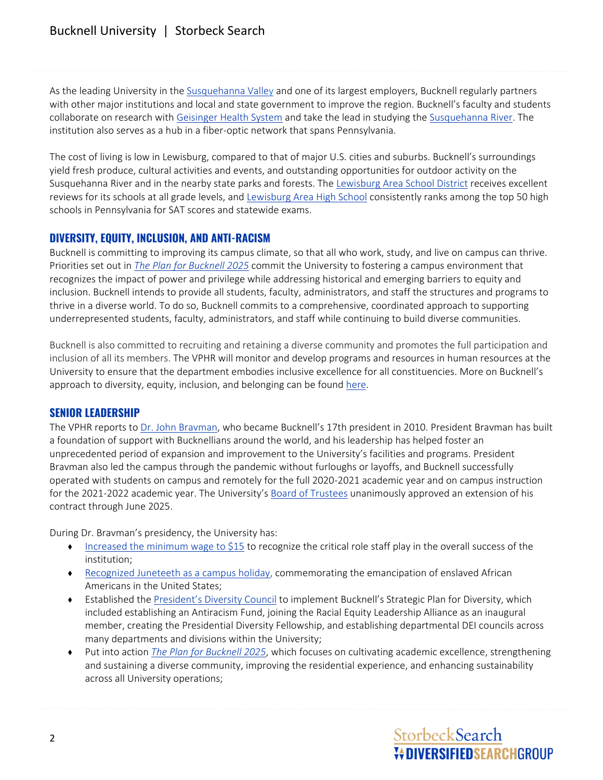# Bucknell University | Storbeck Search

As the leading University in the [Susquehanna Valley](https://www.visitpa.com/region/valleys-susquehanna) and one of its largest employers, Bucknell regularly partners with other major institutions and local and state government to improve the region. Bucknell's faculty and students collaborate on research with [Geisinger Health System](https://www.geisinger.org/) and take the lead in studying the [Susquehanna River.](https://www.visitcentralpa.org/things-to-do/the-susquehanna-river) The institution also serves as a hub in a fiber-optic network that spans Pennsylvania.

The cost of living is low in Lewisburg, compared to that of major U.S. cities and suburbs. Bucknell's surroundings yield fresh produce, cultural activities and events, and outstanding opportunities for outdoor activity on the Susquehanna River and in the nearby state parks and forests. Th[e Lewisburg Area School District](https://www.lasd.us/) receives excellent reviews for its schools at all grade levels, and [Lewisburg Area High School](https://lahs.lasd.us/) consistently ranks among the top 50 high schools in Pennsylvania for SAT scores and statewide exams.

## **DIVERSITY, EQUITY, INCLUSION, AND ANTI-RACISM**

Bucknell is committing to improving its campus climate, so that all who work, study, and live on campus can thrive. Priorities set out in *[The Plan for Bucknell](https://www.bucknell.edu/meet-bucknell/bucknell-leadership/plan-bucknell-2025) 2025* commit the University to fostering a campus environment that recognizes the impact of power and privilege while addressing historical and emerging barriers to equity and inclusion. Bucknell intends to provide all students, faculty, administrators, and staff the structures and programs to thrive in a diverse world. To do so, Bucknell commits to a comprehensive, coordinated approach to supporting underrepresented students, faculty, administrators, and staff while continuing to build diverse communities.

Bucknell is also committed to recruiting and retaining a diverse community and promotes the full participation and inclusion of all its members. The VPHR will monitor and develop programs and resources in human resources at the University to ensure that the department embodies inclusive excellence for all constituencies. More on Bucknell's approach to diversity, equity, inclusion, and belonging can be foun[d here.](https://www.bucknell.edu/life-bucknell/diversity-equity-inclusion)

### **SENIOR LEADERSHIP**

The VPHR reports to [Dr. John Bravman](https://www.bucknell.edu/meet-bucknell/bucknell-leadership/meet-president-bravman), who became Bucknell's 17th president in 2010. President Bravman has built a foundation of support with Bucknellians around the world, and his leadership has helped foster an unprecedented period of expansion and improvement to the University's facilities and programs. President Bravman also led the campus through the pandemic without furloughs or layoffs, and Bucknell successfully operated with students on campus and remotely for the full 2020-2021 academic year and on campus instruction for the 2021-2022 academic year. The University's [Board of Trustees](https://www.bucknell.edu/meet-bucknell/bucknell-leadership/board-trustees) unanimously approved an extension of his contract through June 2025.

During Dr. Bravman's presidency, the University has:

- ♦ [Increased the minimum wage to \\$15](https://forthemedia.blogs.bucknell.edu/bucknell-to-raise-minimum-hourly-pay-rate-to-15/) to recognize the critical role staff play in the overall success of the institution;
- ♦ [Recognized Juneteeth as a campus holiday,](https://www.bucknell.edu/oct-11-2021-presidential-announcements) commemorating the emancipation of enslaved African Americans in the United States;
- ♦ Established the [President's Diversity Council](https://www.bucknell.edu/meet-bucknell/bucknell-leadership/meet-president-bravman/presidents-diversity-council) to implement Bucknell's Strategic Plan for Diversity, which included establishing an Antiracism Fund, joining the Racial Equity Leadership Alliance as an inaugural member, creating the Presidential Diversity Fellowship, and establishing departmental DEI councils across many departments and divisions within the University;
- ♦ Put into action *[The Plan for Bucknell 2025](https://www.bucknell.edu/sites/default/files/offices_resources/president/strategicplan2025_0.pdf)*, which focuses on cultivating academic excellence, strengthening and sustaining a diverse community, improving the residential experience, and enhancing sustainability across all University operations;

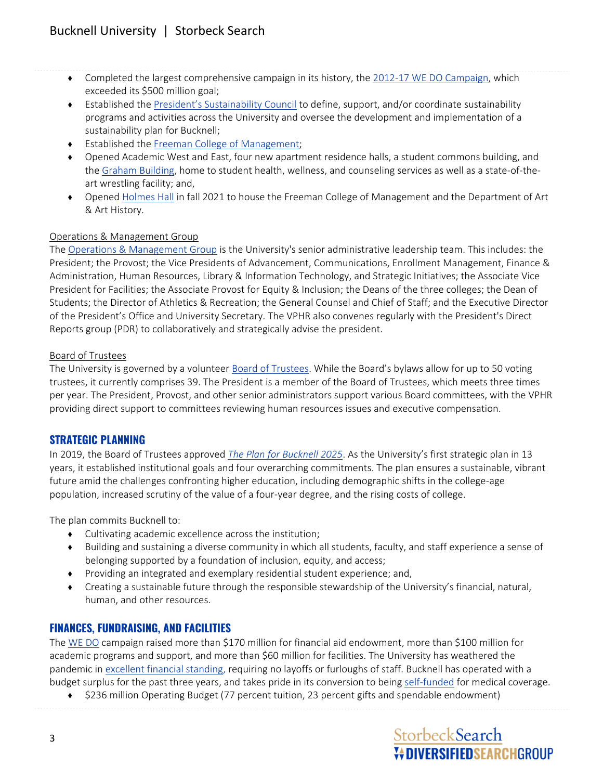- ♦ Completed the largest comprehensive campaign in its history, the [2012-17 WE DO Campaign,](https://bucknellian.net/76605/features/we-do-did-it/) which exceeded its \$500 million goal;
- ♦ Established the [President's Sustainability Council](https://www.bucknell.edu/meet-bucknell/bucknell-leadership/meet-president-bravman/presidents-sustainability-council) to define, support, and/or coordinate sustainability programs and activities across the University and oversee the development and implementation of a sustainability plan for Bucknell;
- ♦ Established the [Freeman College of Management;](https://www.bucknell.edu/academics/freeman-college-management)
- Opened Academic West and East, four new apartment residence halls, a student commons building, and th[e Graham Building,](https://bucknellbison.com/facilities/graham-building/16) home to student health, wellness, and counseling services as well as a state-of-theart wrestling facility; and,
- ♦ Opened [Holmes Hall](https://www.bucknell.edu/azdirectory/university-advancement/gifts-facilities/holmes-hall) in fall 2021 to house the Freeman College of Management and the Department of Art & Art History.

#### Operations & Management Group

The [Operations &](https://www.bucknell.edu/meet-bucknell/bucknell-leadership/operations-management-group) [Management Group](https://www.bucknell.edu/meet-bucknell/bucknell-leadership/operations-management-group) is the University's senior administrative leadership team. This includes: the President; the Provost; the Vice Presidents of Advancement, Communications, Enrollment Management, Finance & Administration, Human Resources, Library & Information Technology, and Strategic Initiatives; the Associate Vice President for Facilities; the Associate Provost for Equity & Inclusion; the Deans of the three colleges; the Dean of Students; the Director of Athletics & Recreation; the General Counsel and Chief of Staff; and the Executive Director of the President's Office and University Secretary. The VPHR also convenes regularly with the President's Direct Reports group (PDR) to collaboratively and strategically advise the president.

#### Board of Trustees

The University is governed by a voluntee[r Board of Trustees.](https://www.bucknell.edu/meet-bucknell/bucknell-leadership/board-trustees) While the Board's bylaws allow for up to 50 voting trustees, it currently comprises 39. The President is a member of the Board of Trustees, which meets three times per year. The President, Provost, and other senior administrators support various Board committees, with the VPHR providing direct support to committees reviewing human resources issues and executive compensation.

# **STRATEGIC PLANNING**

In 2019, the Board of Trustees approved *[The Plan for Bucknell 2025](https://www.bucknell.edu/meet-bucknell/bucknell-leadership/plan-bucknell-2025)*. As the University's first strategic plan in 13 years, it established institutional goals and four overarching commitments. The plan ensures a sustainable, vibrant future amid the challenges confronting higher education, including demographic shifts in the college-age population, increased scrutiny of the value of a four-year degree, and the rising costs of college.

The plan commits Bucknell to:

- ♦ Cultivating academic excellence across the institution;
- ♦ Building and sustaining a diverse community in which all students, faculty, and staff experience a sense of belonging supported by a foundation of inclusion, equity, and access;
- ♦ Providing an integrated and exemplary residential student experience; and,
- ♦ Creating a sustainable future through the responsible stewardship of the University's financial, natural, human, and other resources.

# **FINANCES, FUNDRAISING, AND FACILITIES**

The [WE DO](https://bucknellian.net/76605/features/we-do-did-it/) campaign raised more than \$170 million for financial aid endowment, more than \$100 million for academic programs and support, and more than \$60 million for facilities. The University has weathered the pandemic in [excellent financial standing,](https://www.bucknell.edu/sites/default/files/offices_resources/finance_office/2021_bucknell_university_consolidated_financial_statements1.pdf) requiring no layoffs or furloughs of staff. Bucknell has operated with a budget surplus for the past three years, and takes pride in its conversion to being [self-funded](https://myweb.bucknell.edu/administrative-areas/human-resources/benefits-wellness/insurance) for medical coverage.

\$236 million Operating Budget (77 percent tuition, 23 percent gifts and spendable endowment)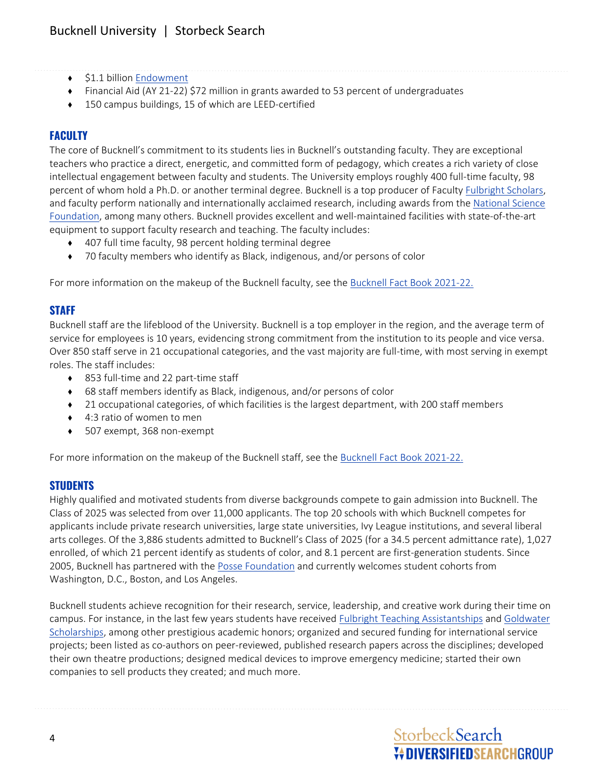- ♦ \$1.1 billio[n Endowment](https://www.bucknell.edu/sites/default/files/offices-resources/investment-office/Bucknell%20University%20Endowment%20Report%20Fall%202021_1.pdf)
- ♦ Financial Aid (AY 21-22) \$72 million in grants awarded to 53 percent of undergraduates
- ♦ 150 campus buildings, 15 of which are LEED-certified

# **FACULTY**

The core of Bucknell's commitment to its students lies in Bucknell's outstanding faculty. They are exceptional teachers who practice a direct, energetic, and committed form of pedagogy, which creates a rich variety of close intellectual engagement between faculty and students. The University employs roughly 400 full-time faculty, 98 percent of whom hold a Ph.D. or another terminal degree. Bucknell is a top producer of Faculty [Fulbright Scholars,](https://cies.org/) and faculty perform nationally and internationally acclaimed research, including awards from the National Science [Foundation,](https://www.nsf.gov/) among many others. Bucknell provides excellent and well-maintained facilities with state-of-the-art equipment to support faculty research and teaching. The faculty includes:

- 407 full time faculty, 98 percent holding terminal degree
- ♦ 70 faculty members who identify as Black, indigenous, and/or persons of color

For more information on the makeup of the Bucknell faculty, see the [Bucknell Fact Book](https://www.bucknell.edu/azdirectory/institutional-research-planning/fact-book) [2021-22.](https://www.bucknell.edu/azdirectory/institutional-research-planning/fact-book)

### **STAFF**

Bucknell staff are the lifeblood of the University. Bucknell is a top employer in the region, and the average term of service for employees is 10 years, evidencing strong commitment from the institution to its people and vice versa. Over 850 staff serve in 21 occupational categories, and the vast majority are full-time, with most serving in exempt roles. The staff includes:

- ♦ 853 full-time and 22 part-time staff
- ♦ 68 staff members identify as Black, indigenous, and/or persons of color
- ♦ 21 occupational categories, of which facilities is the largest department, with 200 staff members
- 4:3 ratio of women to men
- ♦ 507 exempt, 368 non-exempt

For more information on the makeup of the Bucknell staff, see the [Bucknell Fact Book](https://www.bucknell.edu/azdirectory/institutional-research-planning/fact-book) [2021-22.](https://www.bucknell.edu/azdirectory/institutional-research-planning/fact-book)

### **STUDENTS**

Highly qualified and motivated students from diverse backgrounds compete to gain admission into Bucknell. The Class of 2025 was selected from over 11,000 applicants. The top 20 schools with which Bucknell competes for applicants include private research universities, large state universities, Ivy League institutions, and several liberal arts colleges. Of the 3,886 students admitted to Bucknell's Class of 2025 (for a 34.5 percent admittance rate), 1,027 enrolled, of which 21 percent identify as students of color, and 8.1 percent are first-generation students. Since 2005, Bucknell has partnered with the [Posse Foundation](https://www.bucknell.edu/admissions-aid/tuition-fees-financial-aid/scholarship-programs/posse-scholars-program) and currently welcomes student cohorts from Washington, D.C., Boston, and Los Angeles.

Bucknell students achieve recognition for their research, service, leadership, and creative work during their time on campus. For instance, in the last few years students have received [Fulbright Teaching Assistantships](https://www.bucknell.edu/news/bucknell-among-top-producers-fulbright-us-student-awards) and [Goldwater](https://www.bucknell.edu/news/three-bucknell-students-named-2020-goldwater-scholars)  [Scholarships,](https://www.bucknell.edu/news/three-bucknell-students-named-2020-goldwater-scholars) among other prestigious academic honors; organized and secured funding for international service projects; been listed as co-authors on peer-reviewed, published research papers across the disciplines; developed their own theatre productions; designed medical devices to improve emergency medicine; started their own companies to sell products they created; and much more.

# StorbeckSearch **V+DIVERSIFIEDSEARCHGROUP**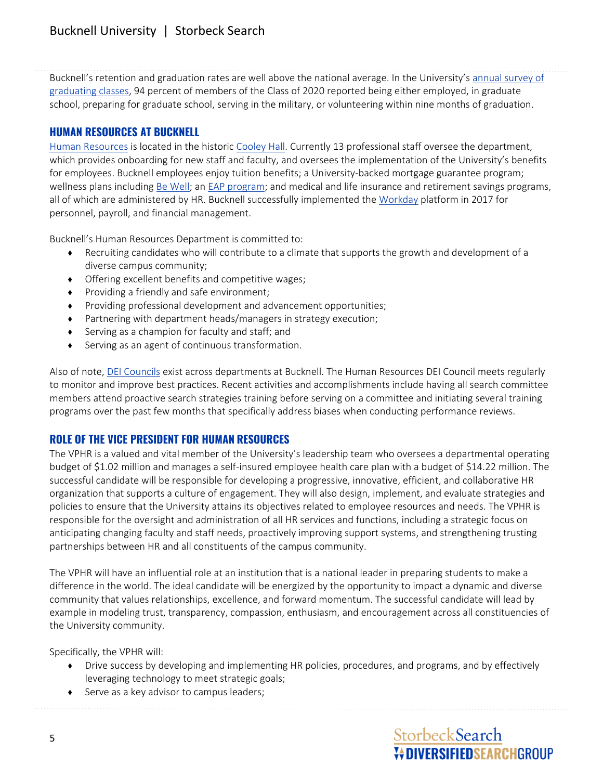Bucknell's retention and graduation rates are well above the national average. In the University's [annual survey of](https://www.bucknell.edu/sites/default/files/offices_resources/center_for_career_advancement/class_of_2020_post_graduate_survey.pdf)  [graduating classes,](https://www.bucknell.edu/sites/default/files/offices_resources/center_for_career_advancement/class_of_2020_post_graduate_survey.pdf) 94 percent of members of the Class of 2020 reported being either employed, in graduate school, preparing for graduate school, serving in the military, or volunteering within nine months of graduation.

## **HUMAN RESOURCES AT BUCKNELL**

[Human Resources](https://www.bucknell.edu/azdirectory/human-resources) is located in the historic [Cooley Hall.](http://www.departments.bucknell.edu/edu/bu_history_old/photo_history/1945/1945_UnivCaf.html) Currently 13 professional staff oversee the department, which provides onboarding for new staff and faculty, and oversees the implementation of the University's benefits for employees. Bucknell employees enjoy tuition benefits; a University-backed mortgage guarantee program; wellness plans including [Be Well;](https://myweb.bucknell.edu/administrative-areas/human-resources/benefits-wellness/be-well/be-well-program) an [EAP program;](https://myweb.bucknell.edu/administrative-areas/human-resources/benefits-wellness/eap-health-advocacy/employee-assistance-program) and medical and life insurance and retirement savings programs, all of which are administered by HR. Bucknell successfully implemented the [Workday](http://workday.blogs.bucknell.edu/) platform in 2017 for personnel, payroll, and financial management.

Bucknell's Human Resources Department is committed to:

- ♦ Recruiting candidates who will contribute to a climate that supports the growth and development of a diverse campus community;
- ♦ Offering excellent benefits and competitive wages;
- ♦ Providing a friendly and safe environment;
- ♦ Providing professional development and advancement opportunities;
- ♦ Partnering with department heads/managers in strategy execution;
- Serving as a champion for faculty and staff; and
- ♦ Serving as an agent of continuous transformation.

Also of note[, DEI Councils](https://www.bucknell.edu/life-bucknell/diversity-equity-inclusion/university-dei-councils) exist across departments at Bucknell. The Human Resources DEI Council meets regularly to monitor and improve best practices. Recent activities and accomplishments include having all search committee members attend proactive search strategies training before serving on a committee and initiating several training programs over the past few months that specifically address biases when conducting performance reviews.

### **ROLE OF THE VICE PRESIDENT FOR HUMAN RESOURCES**

The VPHR is a valued and vital member of the University's leadership team who oversees a departmental operating budget of \$1.02 million and manages a self-insured employee health care plan with a budget of \$14.22 million. The successful candidate will be responsible for developing a progressive, innovative, efficient, and collaborative HR organization that supports a culture of engagement. They will also design, implement, and evaluate strategies and policies to ensure that the University attains its objectives related to employee resources and needs. The VPHR is responsible for the oversight and administration of all HR services and functions, including a strategic focus on anticipating changing faculty and staff needs, proactively improving support systems, and strengthening trusting partnerships between HR and all constituents of the campus community.

The VPHR will have an influential role at an institution that is a national leader in preparing students to make a difference in the world. The ideal candidate will be energized by the opportunity to impact a dynamic and diverse community that values relationships, excellence, and forward momentum. The successful candidate will lead by example in modeling trust, transparency, compassion, enthusiasm, and encouragement across all constituencies of the University community.

Specifically, the VPHR will:

- ♦ Drive success by developing and implementing HR policies, procedures, and programs, and by effectively leveraging technology to meet strategic goals;
- ♦ Serve as a key advisor to campus leaders;

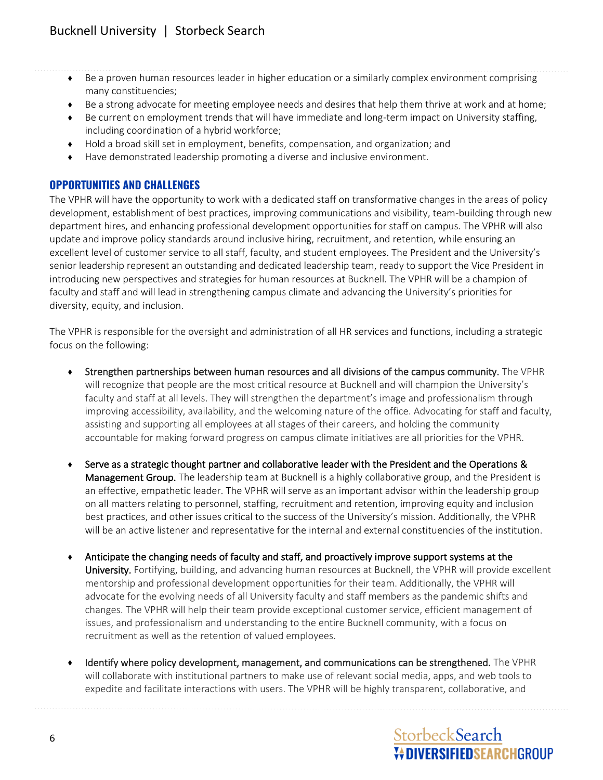- ♦ Be a proven human resources leader in higher education or a similarly complex environment comprising many constituencies;
- ♦ Be a strong advocate for meeting employee needs and desires that help them thrive at work and at home;
- ◆ Be current on employment trends that will have immediate and long-term impact on University staffing, including coordination of a hybrid workforce;
- ♦ Hold a broad skill set in employment, benefits, compensation, and organization; and
- ♦ Have demonstrated leadership promoting a diverse and inclusive environment.

## **OPPORTUNITIES AND CHALLENGES**

The VPHR will have the opportunity to work with a dedicated staff on transformative changes in the areas of policy development, establishment of best practices, improving communications and visibility, team-building through new department hires, and enhancing professional development opportunities for staff on campus. The VPHR will also update and improve policy standards around inclusive hiring, recruitment, and retention, while ensuring an excellent level of customer service to all staff, faculty, and student employees. The President and the University's senior leadership represent an outstanding and dedicated leadership team, ready to support the Vice President in introducing new perspectives and strategies for human resources at Bucknell. The VPHR will be a champion of faculty and staff and will lead in strengthening campus climate and advancing the University's priorities for diversity, equity, and inclusion.

The VPHR is responsible for the oversight and administration of all HR services and functions, including a strategic focus on the following:

- ♦ Strengthen partnerships between human resources and all divisions of the campus community. The VPHR will recognize that people are the most critical resource at Bucknell and will champion the University's faculty and staff at all levels. They will strengthen the department's image and professionalism through improving accessibility, availability, and the welcoming nature of the office. Advocating for staff and faculty, assisting and supporting all employees at all stages of their careers, and holding the community accountable for making forward progress on campus climate initiatives are all priorities for the VPHR.
- ♦ Serve as a strategic thought partner and collaborative leader with the President and the Operations & Management Group. The leadership team at Bucknell is a highly collaborative group, and the President is an effective, empathetic leader. The VPHR will serve as an important advisor within the leadership group on all matters relating to personnel, staffing, recruitment and retention, improving equity and inclusion best practices, and other issues critical to the success of the University's mission. Additionally, the VPHR will be an active listener and representative for the internal and external constituencies of the institution.
- ♦ Anticipate the changing needs of faculty and staff, and proactively improve support systems at the University. Fortifying, building, and advancing human resources at Bucknell, the VPHR will provide excellent mentorship and professional development opportunities for their team. Additionally, the VPHR will advocate for the evolving needs of all University faculty and staff members as the pandemic shifts and changes. The VPHR will help their team provide exceptional customer service, efficient management of issues, and professionalism and understanding to the entire Bucknell community, with a focus on recruitment as well as the retention of valued employees.
- ♦ Identify where policy development, management, and communications can be strengthened. The VPHR will collaborate with institutional partners to make use of relevant social media, apps, and web tools to expedite and facilitate interactions with users. The VPHR will be highly transparent, collaborative, and

# StorbeckSearch *V* DIVERSIFIEDSEARCHGROUP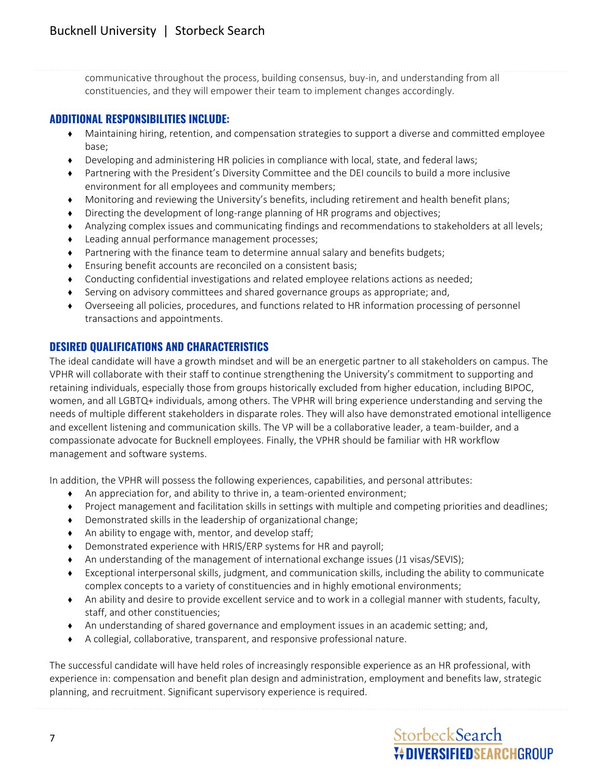communicative throughout the process, building consensus, buy-in, and understanding from all constituencies, and they will empower their team to implement changes accordingly.

#### **ADDITIONAL RESPONSIBILITIES INCLUDE:**

- ♦ Maintaining hiring, retention, and compensation strategies to support a diverse and committed employee base;
- ♦ Developing and administering HR policies in compliance with local, state, and federal laws;
- Partnering with the President's Diversity Committee and the DEI councils to build a more inclusive environment for all employees and community members;
- ♦ Monitoring and reviewing the University's benefits, including retirement and health benefit plans;
- ♦ Directing the development of long-range planning of HR programs and objectives;
- ♦ Analyzing complex issues and communicating findings and recommendations to stakeholders at all levels;
- ♦ Leading annual performance management processes;
- ♦ Partnering with the finance team to determine annual salary and benefits budgets;
- ♦ Ensuring benefit accounts are reconciled on a consistent basis;
- ♦ Conducting confidential investigations and related employee relations actions as needed;
- ♦ Serving on advisory committees and shared governance groups as appropriate; and,
- ♦ Overseeing all policies, procedures, and functions related to HR information processing of personnel transactions and appointments.

## **DESIRED QUALIFICATIONS AND CHARACTERISTICS**

The ideal candidate will have a growth mindset and will be an energetic partner to all stakeholders on campus. The VPHR will collaborate with their staff to continue strengthening the University's commitment to supporting and retaining individuals, especially those from groups historically excluded from higher education, including BIPOC, women, and all LGBTQ+ individuals, among others. The VPHR will bring experience understanding and serving the needs of multiple different stakeholders in disparate roles. They will also have demonstrated emotional intelligence and excellent listening and communication skills. The VP will be a collaborative leader, a team-builder, and a compassionate advocate for Bucknell employees. Finally, the VPHR should be familiar with HR workflow management and software systems.

In addition, the VPHR will possess the following experiences, capabilities, and personal attributes:

- ♦ An appreciation for, and ability to thrive in, a team-oriented environment;
- ♦ Project management and facilitation skills in settings with multiple and competing priorities and deadlines;
- ♦ Demonstrated skills in the leadership of organizational change;
- ♦ An ability to engage with, mentor, and develop staff;
- ♦ Demonstrated experience with HRIS/ERP systems for HR and payroll;
- An understanding of the management of international exchange issues (J1 visas/SEVIS);
- ♦ Exceptional interpersonal skills, judgment, and communication skills, including the ability to communicate complex concepts to a variety of constituencies and in highly emotional environments;
- ♦ An ability and desire to provide excellent service and to work in a collegial manner with students, faculty, staff, and other constituencies;
- ♦ An understanding of shared governance and employment issues in an academic setting; and,
- ♦ A collegial, collaborative, transparent, and responsive professional nature.

The successful candidate will have held roles of increasingly responsible experience as an HR professional, with experience in: compensation and benefit plan design and administration, employment and benefits law, strategic planning, and recruitment. Significant supervisory experience is required.